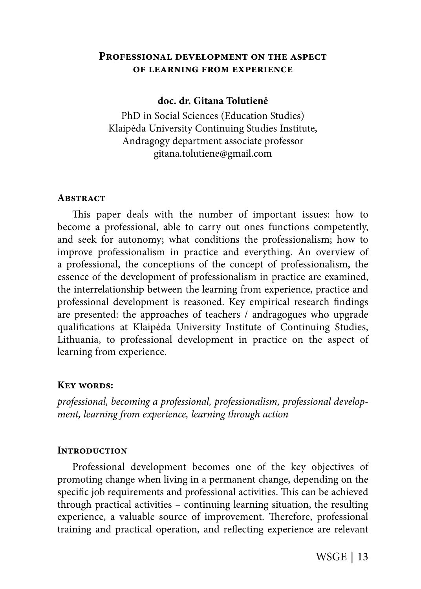# **Professional development on the aspect of learning from experience**

## **doc. dr. Gitana Tolutienė**

PhD in Social Sciences (Education Studies) Klaipėda University Continuing Studies Institute, Andragogy department associate professor gitana.tolutiene@gmail.com

### **Abstract**

This paper deals with the number of important issues: how to become a professional, able to carry out ones functions competently, and seek for autonomy; what conditions the professionalism; how to improve professionalism in practice and everything. An overview of a professional, the conceptions of the concept of professionalism, the essence of the development of professionalism in practice are examined, the interrelationship between the learning from experience, practice and professional development is reasoned. Key empirical research findings are presented: the approaches of teachers / andragogues who upgrade qualifi cations at Klaipėda University Institute of Continuing Studies, Lithuania, to professional development in practice on the aspect of learning from experience.

### **Key words:**

professional, becoming a professional, professionalism, professional development, learning from experience, learning through action

# **Introduction**

Professional development becomes one of the key objectives of promoting change when living in a permanent change, depending on the specific job requirements and professional activities. This can be achieved through practical activities – continuing learning situation, the resulting experience, a valuable source of improvement. Therefore, professional training and practical operation, and reflecting experience are relevant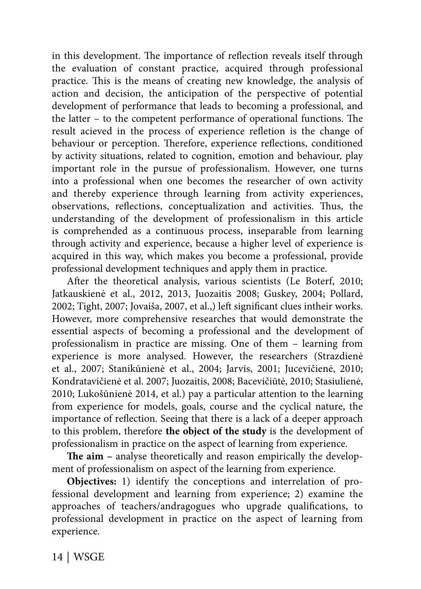in this development. The importance of reflection reveals itself through the evaluation of constant practice, acquired through professional practice. This is the means of creating new knowledge, the analysis of action and decision, the anticipation of the perspective of potential development of performance that leads to becoming a professional, and the latter  $-$  to the competent performance of operational functions. The result acieved in the process of experience refletion is the change of behaviour or perception. Therefore, experience reflections, conditioned by activity situations, related to cognition, emotion and behaviour, play important role in the pursue of professionalism. However, one turns into a professional when one becomes the researcher of own activity and thereby experience through learning from activity experiences, observations, reflections, conceptualization and activities. Thus, the understanding of the development of professionalism in this article is comprehended as a continuous process, inseparable from learning through activity and experience, because a higher level of experience is acquired in this way, which makes you become a professional, provide professional development techniques and apply them in practice.

After the theoretical analysis, various scientists (Le Boterf, 2010; Jatkauskienė et al., 2012, 2013, Juozaitis 2008; Guskey, 2004; Pollard, 2002; Tight, 2007; Jovaiša, 2007, et al.,) left significant clues intheir works. However, more comprehensive researches that would demonstrate the essential aspects of becoming a professional and the development of professionalism in practice are missing. One of them – learning from experience is more analysed. However, the researchers (Strazdienė et al., 2007; Stanikūnienė et al., 2004; Jarvis, 2001; Jucevičienė, 2010; Kondratavičienė et al. 2007; Juozaitis, 2008; Bacevičiūtė, 2010; Stasiulienė, 2010; Lukošūnienė 2014, et al.) pay a particular attention to the learning from experience for models, goals, course and the cyclical nature, the importance of reflection. Seeing that there is a lack of a deeper approach to this problem, therefore **the object of the study** is the development of professionalism in practice on the aspect of learning from experience.

The aim - analyse theoretically and reason empirically the development of professionalism on aspect of the learning from experience.

**Objectives:** 1) identify the conceptions and interrelation of professional development and learning from experience; 2) examine the approaches of teachers/andragogues who upgrade qualifications, to professional development in practice on the aspect of learning from experience.

14 | WSGE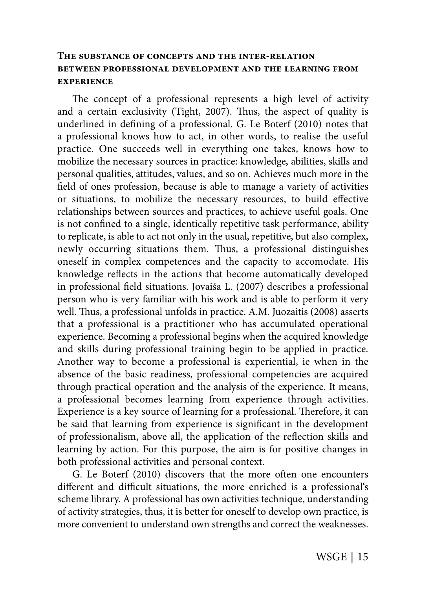# **The substance of concepts and the inter-relation between professional development and the learning from experience**

The concept of a professional represents a high level of activity and a certain exclusivity (Tight, 2007). Thus, the aspect of quality is underlined in defining of a professional. G. Le Boterf (2010) notes that a professional knows how to act, in other words, to realise the useful practice. One succeeds well in everything one takes, knows how to mobilize the necessary sources in practice: knowledge, abilities, skills and personal qualities, attitudes, values, and so on. Achieves much more in the field of ones profession, because is able to manage a variety of activities or situations, to mobilize the necessary resources, to build effective relationships between sources and practices, to achieve useful goals. One is not confined to a single, identically repetitive task performance, ability to replicate, is able to act not only in the usual, repetitive, but also complex, newly occurring situations them. Thus, a professional distinguishes oneself in complex competences and the capacity to accomodate. His knowledge reflects in the actions that become automatically developed in professional field situations. Jovaiša L. (2007) describes a professional person who is very familiar with his work and is able to perform it very well. Thus, a professional unfolds in practice. A.M. Juozaitis (2008) asserts that a professional is a practitioner who has accumulated operational experience. Becoming a professional begins when the acquired knowledge and skills during professional training begin to be applied in practice. Another way to become a professional is experiential, ie when in the absence of the basic readiness, professional competencies are acquired through practical operation and the analysis of the experience. It means, a professional becomes learning from experience through activities. Experience is a key source of learning for a professional. Therefore, it can be said that learning from experience is significant in the development of professionalism, above all, the application of the reflection skills and learning by action. For this purpose, the aim is for positive changes in both professional activities and personal context.

G. Le Boterf (2010) discovers that the more often one encounters different and difficult situations, the more enriched is a professional's scheme library. A professional has own activities technique, understanding of activity strategies, thus, it is better for oneself to develop own practice, is more convenient to understand own strengths and correct the weaknesses.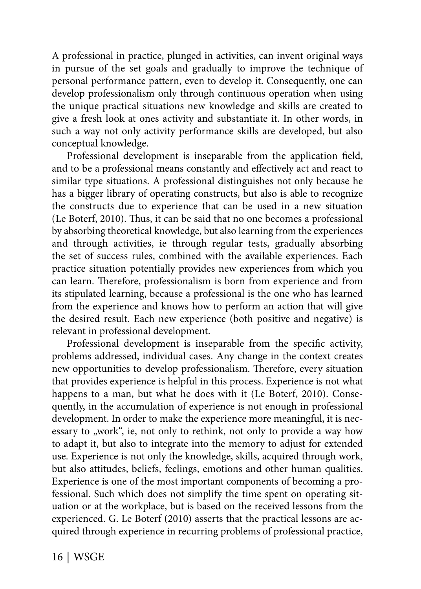A professional in practice, plunged in activities, can invent original ways in pursue of the set goals and gradually to improve the technique of personal performance pattern, even to develop it. Consequently, one can develop professionalism only through continuous operation when using the unique practical situations new knowledge and skills are created to give a fresh look at ones activity and substantiate it. In other words, in such a way not only activity performance skills are developed, but also conceptual knowledge.

Professional development is inseparable from the application field, and to be a professional means constantly and effectively act and react to similar type situations. A professional distinguishes not only because he has a bigger library of operating constructs, but also is able to recognize the constructs due to experience that can be used in a new situation (Le Boterf, 2010). Thus, it can be said that no one becomes a professional by absorbing theoretical knowledge, but also learning from the experiences and through activities, ie through regular tests, gradually absorbing the set of success rules, combined with the available experiences. Each practice situation potentially provides new experiences from which you can learn. Therefore, professionalism is born from experience and from its stipulated learning, because a professional is the one who has learned from the experience and knows how to perform an action that will give the desired result. Each new experience (both positive and negative) is relevant in professional development.

Professional development is inseparable from the specific activity, problems addressed, individual cases. Any change in the context creates new opportunities to develop professionalism. Therefore, every situation that provides experience is helpful in this process. Experience is not what happens to a man, but what he does with it (Le Boterf, 2010). Consequently, in the accumulation of experience is not enough in professional development. In order to make the experience more meaningful, it is necessary to "work", ie, not only to rethink, not only to provide a way how to adapt it, but also to integrate into the memory to adjust for extended use. Experience is not only the knowledge, skills, acquired through work, but also attitudes, beliefs, feelings, emotions and other human qualities. Experience is one of the most important components of becoming a professional. Such which does not simplify the time spent on operating situation or at the workplace, but is based on the received lessons from the experienced. G. Le Boterf (2010) asserts that the practical lessons are acquired through experience in recurring problems of professional practice,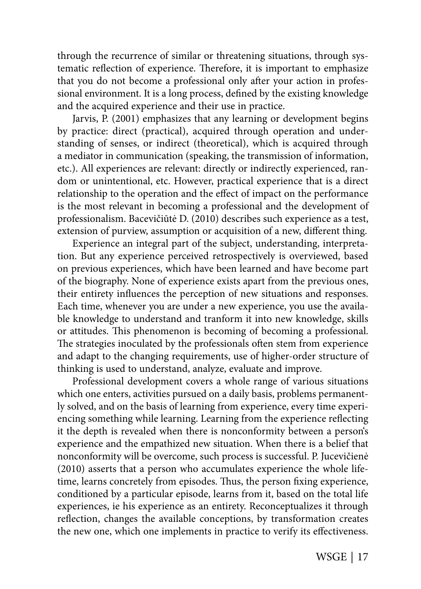through the recurrence of similar or threatening situations, through systematic reflection of experience. Therefore, it is important to emphasize that you do not become a professional only after your action in professional environment. It is a long process, defined by the existing knowledge and the acquired experience and their use in practice.

Jarvis, P. (2001) emphasizes that any learning or development begins by practice: direct (practical), acquired through operation and understanding of senses, or indirect (theoretical), which is acquired through a mediator in communication (speaking, the transmission of information, etc.). All experiences are relevant: directly or indirectly experienced, random or unintentional, etc. However, practical experience that is a direct relationship to the operation and the effect of impact on the performance is the most relevant in becoming a professional and the development of professionalism. Bacevičiūtė D. (2010) describes such experience as a test, extension of purview, assumption or acquisition of a new, different thing.

Experience an integral part of the subject, understanding, interpretation. But any experience perceived retrospectively is overviewed, based on previous experiences, which have been learned and have become part of the biography. None of experience exists apart from the previous ones, their entirety influences the perception of new situations and responses. Each time, whenever you are under a new experience, you use the available knowledge to understand and tranform it into new knowledge, skills or attitudes. This phenomenon is becoming of becoming a professional. The strategies inoculated by the professionals often stem from experience and adapt to the changing requirements, use of higher-order structure of thinking is used to understand, analyze, evaluate and improve.

Professional development covers a whole range of various situations which one enters, activities pursued on a daily basis, problems permanently solved, and on the basis of learning from experience, every time experiencing something while learning. Learning from the experience reflecting it the depth is revealed when there is nonconformity between a person's experience and the empathized new situation. When there is a belief that nonconformity will be overcome, such process is successful. P. Jucevičienė (2010) asserts that a person who accumulates experience the whole lifetime, learns concretely from episodes. Thus, the person fixing experience, conditioned by a particular episode, learns from it, based on the total life experiences, ie his experience as an entirety. Reconceptualizes it through reflection, changes the available conceptions, by transformation creates the new one, which one implements in practice to verify its effectiveness.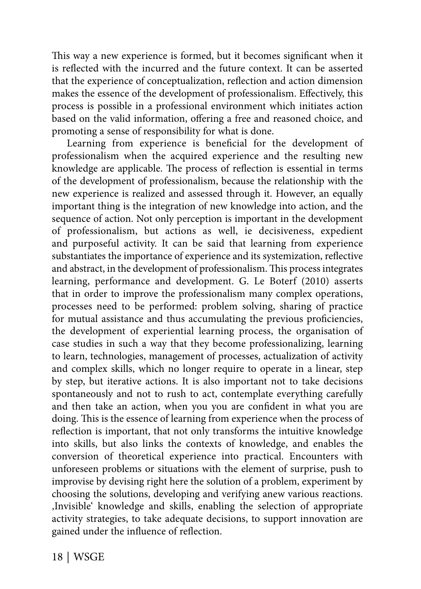This way a new experience is formed, but it becomes significant when it is reflected with the incurred and the future context. It can be asserted that the experience of conceptualization, reflection and action dimension makes the essence of the development of professionalism. Effectively, this process is possible in a professional environment which initiates action based on the valid information, offering a free and reasoned choice, and promoting a sense of responsibility for what is done.

Learning from experience is beneficial for the development of professionalism when the acquired experience and the resulting new knowledge are applicable. The process of reflection is essential in terms of the development of professionalism, because the relationship with the new experience is realized and assessed through it. However, an equally important thing is the integration of new knowledge into action, and the sequence of action. Not only perception is important in the development of professionalism, but actions as well, ie decisiveness, expedient and purposeful activity. It can be said that learning from experience substantiates the importance of experience and its systemization, reflective and abstract, in the development of professionalism. This process integrates learning, performance and development. G. Le Boterf (2010) asserts that in order to improve the professionalism many complex operations, processes need to be performed: problem solving, sharing of practice for mutual assistance and thus accumulating the previous proficiencies, the development of experiential learning process, the organisation of case studies in such a way that they become professionalizing, learning to learn, technologies, management of processes, actualization of activity and complex skills, which no longer require to operate in a linear, step by step, but iterative actions. It is also important not to take decisions spontaneously and not to rush to act, contemplate everything carefully and then take an action, when you you are confident in what you are doing. This is the essence of learning from experience when the process of reflection is important, that not only transforms the intuitive knowledge into skills, but also links the contexts of knowledge, and enables the conversion of theoretical experience into practical. Encounters with unforeseen problems or situations with the element of surprise, push to improvise by devising right here the solution of a problem, experiment by choosing the solutions, developing and verifying anew various reactions. 'Invisible' knowledge and skills, enabling the selection of appropriate activity strategies, to take adequate decisions, to support innovation are gained under the influence of reflection.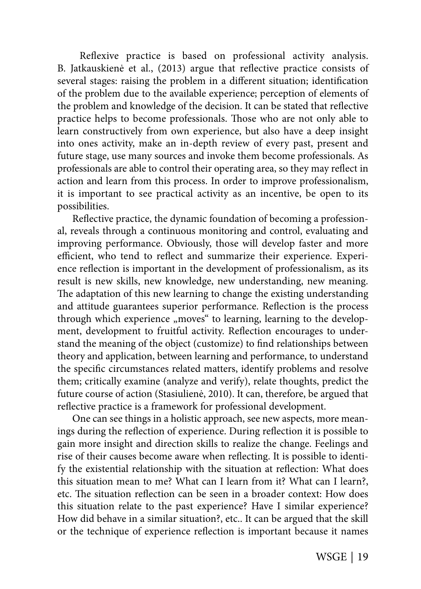Reflexive practice is based on professional activity analysis. B. Jatkauskienė et al., (2013) argue that reflective practice consists of several stages: raising the problem in a different situation; identification of the problem due to the available experience; perception of elements of the problem and knowledge of the decision. It can be stated that reflective practice helps to become professionals. Those who are not only able to learn constructively from own experience, but also have a deep insight into ones activity, make an in-depth review of every past, present and future stage, use many sources and invoke them become professionals. As professionals are able to control their operating area, so they may reflect in action and learn from this process. In order to improve professionalism, it is important to see practical activity as an incentive, be open to its possibilities.

Reflective practice, the dynamic foundation of becoming a professional, reveals through a continuous monitoring and control, evaluating and improving performance. Obviously, those will develop faster and more efficient, who tend to reflect and summarize their experience. Experience reflection is important in the development of professionalism, as its result is new skills, new knowledge, new understanding, new meaning. The adaptation of this new learning to change the existing understanding and attitude guarantees superior performance. Reflection is the process through which experience "moves" to learning, learning to the development, development to fruitful activity. Reflection encourages to understand the meaning of the object (customize) to find relationships between theory and application, between learning and performance, to understand the specific circumstances related matters, identify problems and resolve them; critically examine (analyze and verify), relate thoughts, predict the future course of action (Stasiulienė, 2010). It can, therefore, be argued that reflective practice is a framework for professional development.

One can see things in a holistic approach, see new aspects, more meanings during the reflection of experience. During reflection it is possible to gain more insight and direction skills to realize the change. Feelings and rise of their causes become aware when reflecting. It is possible to identify the existential relationship with the situation at reflection: What does this situation mean to me? What can I learn from it? What can I learn?, etc. The situation reflection can be seen in a broader context: How does this situation relate to the past experience? Have I similar experience? How did behave in a similar situation?, etc.. It can be argued that the skill or the technique of experience reflection is important because it names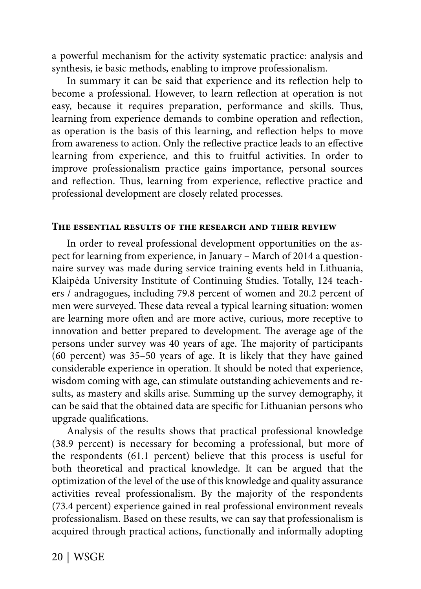a powerful mechanism for the activity systematic practice: analysis and synthesis, ie basic methods, enabling to improve professionalism.

In summary it can be said that experience and its reflection help to become a professional. However, to learn reflection at operation is not easy, because it requires preparation, performance and skills. Thus, learning from experience demands to combine operation and reflection, as operation is the basis of this learning, and reflection helps to move from awareness to action. Only the reflective practice leads to an effective learning from experience, and this to fruitful activities. In order to improve professionalism practice gains importance, personal sources and reflection. Thus, learning from experience, reflective practice and professional development are closely related processes.

#### **The essential results of the research and their review**

In order to reveal professional development opportunities on the aspect for learning from experience, in January – March of 2014 a questionnaire survey was made during service training events held in Lithuania, Klaipėda University Institute of Continuing Studies. Totally, 124 teachers / andragogues, including 79.8 percent of women and 20.2 percent of men were surveyed. These data reveal a typical learning situation: women are learning more often and are more active, curious, more receptive to innovation and better prepared to development. The average age of the persons under survey was 40 years of age. The majority of participants (60 percent) was 35–50 years of age. It is likely that they have gained considerable experience in operation. It should be noted that experience, wisdom coming with age, can stimulate outstanding achievements and results, as mastery and skills arise. Summing up the survey demography, it can be said that the obtained data are specific for Lithuanian persons who upgrade qualifications.

Analysis of the results shows that practical professional knowledge (38.9 percent) is necessary for becoming a professional, but more of the respondents (61.1 percent) believe that this process is useful for both theoretical and practical knowledge. It can be argued that the optimization of the level of the use of this knowledge and quality assurance activities reveal professionalism. By the majority of the respondents (73.4 percent) experience gained in real professional environment reveals professionalism. Based on these results, we can say that professionalism is acquired through practical actions, functionally and informally adopting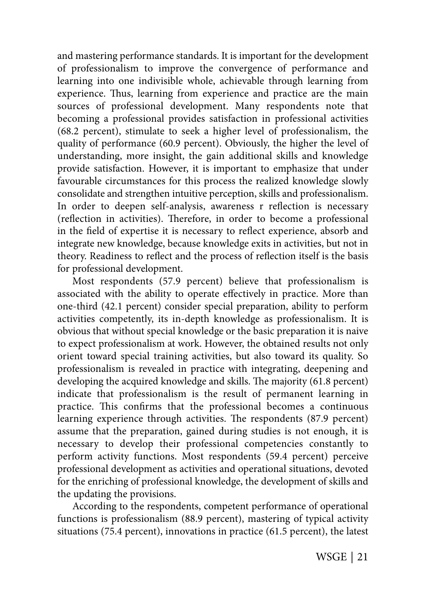and mastering performance standards. It is important for the development of professionalism to improve the convergence of performance and learning into one indivisible whole, achievable through learning from experience. Thus, learning from experience and practice are the main sources of professional development. Many respondents note that becoming a professional provides satisfaction in professional activities (68.2 percent), stimulate to seek a higher level of professionalism, the quality of performance (60.9 percent). Obviously, the higher the level of understanding, more insight, the gain additional skills and knowledge provide satisfaction. However, it is important to emphasize that under favourable circumstances for this process the realized knowledge slowly consolidate and strengthen intuitive perception, skills and professionalism. In order to deepen self-analysis, awareness r reflection is necessary (reflection in activities). Therefore, in order to become a professional in the field of expertise it is necessary to reflect experience, absorb and integrate new knowledge, because knowledge exits in activities, but not in theory. Readiness to reflect and the process of reflection itself is the basis for professional development.

Most respondents (57.9 percent) believe that professionalism is associated with the ability to operate effectively in practice. More than one-third (42.1 percent) consider special preparation, ability to perform activities competently, its in-depth knowledge as professionalism. It is obvious that without special knowledge or the basic preparation it is naive to expect professionalism at work. However, the obtained results not only orient toward special training activities, but also toward its quality. So professionalism is revealed in practice with integrating, deepening and developing the acquired knowledge and skills. The majority (61.8 percent) indicate that professionalism is the result of permanent learning in practice. This confirms that the professional becomes a continuous learning experience through activities. The respondents (87.9 percent) assume that the preparation, gained during studies is not enough, it is necessary to develop their professional competencies constantly to perform activity functions. Most respondents (59.4 percent) perceive professional development as activities and operational situations, devoted for the enriching of professional knowledge, the development of skills and the updating the provisions.

According to the respondents, competent performance of operational functions is professionalism (88.9 percent), mastering of typical activity situations (75.4 percent), innovations in practice (61.5 percent), the latest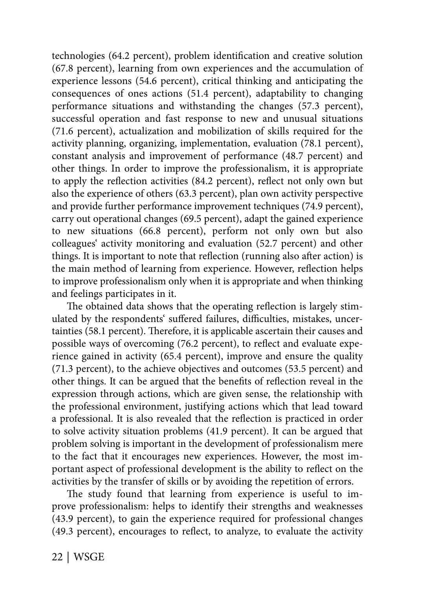technologies (64.2 percent), problem identification and creative solution (67.8 percent), learning from own experiences and the accumulation of experience lessons (54.6 percent), critical thinking and anticipating the consequences of ones actions (51.4 percent), adaptability to changing performance situations and withstanding the changes (57.3 percent), successful operation and fast response to new and unusual situations (71.6 percent), actualization and mobilization of skills required for the activity planning, organizing, implementation, evaluation (78.1 percent), constant analysis and improvement of performance (48.7 percent) and other things. In order to improve the professionalism, it is appropriate to apply the reflection activities  $(84.2 \text{ percent})$ , reflect not only own but also the experience of others (63.3 percent), plan own activity perspective and provide further performance improvement techniques (74.9 percent), carry out operational changes (69.5 percent), adapt the gained experience to new situations (66.8 percent), perform not only own but also colleagues' activity monitoring and evaluation (52.7 percent) and other things. It is important to note that reflection (running also after action) is the main method of learning from experience. However, reflection helps to improve professionalism only when it is appropriate and when thinking and feelings participates in it.

The obtained data shows that the operating reflection is largely stimulated by the respondents' suffered failures, difficulties, mistakes, uncertainties (58.1 percent). Therefore, it is applicable ascertain their causes and possible ways of overcoming (76.2 percent), to reflect and evaluate experience gained in activity (65.4 percent), improve and ensure the quality (71.3 percent), to the achieve objectives and outcomes (53.5 percent) and other things. It can be argued that the benefits of reflection reveal in the expression through actions, which are given sense, the relationship with the professional environment, justifying actions which that lead toward a professional. It is also revealed that the reflection is practiced in order to solve activity situation problems (41.9 percent). It can be argued that problem solving is important in the development of professionalism mere to the fact that it encourages new experiences. However, the most important aspect of professional development is the ability to reflect on the activities by the transfer of skills or by avoiding the repetition of errors.

The study found that learning from experience is useful to improve professionalism: helps to identify their strengths and weaknesses (43.9 percent), to gain the experience required for professional changes (49.3 percent), encourages to reflect, to analyze, to evaluate the activity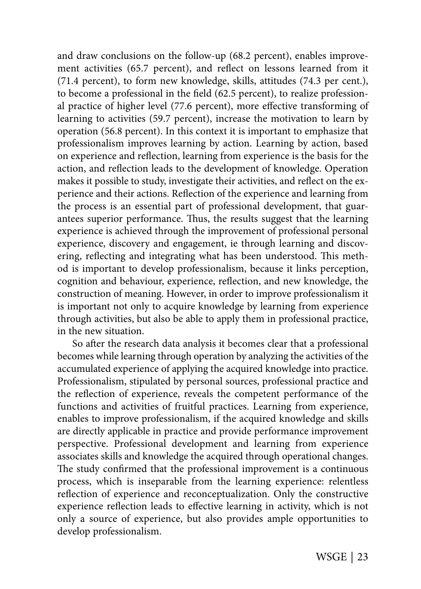and draw conclusions on the follow-up (68.2 percent), enables improvement activities (65.7 percent), and reflect on lessons learned from it (71.4 percent), to form new knowledge, skills, attitudes (74.3 per cent.), to become a professional in the field  $(62.5$  percent), to realize professional practice of higher level (77.6 percent), more effective transforming of learning to activities (59.7 percent), increase the motivation to learn by operation (56.8 percent). In this context it is important to emphasize that professionalism improves learning by action. Learning by action, based on experience and reflection, learning from experience is the basis for the action, and reflection leads to the development of knowledge. Operation makes it possible to study, investigate their activities, and reflect on the experience and their actions. Reflection of the experience and learning from the process is an essential part of professional development, that guarantees superior performance. Thus, the results suggest that the learning experience is achieved through the improvement of professional personal experience, discovery and engagement, ie through learning and discovering, reflecting and integrating what has been understood. This method is important to develop professionalism, because it links perception, cognition and behaviour, experience, reflection, and new knowledge, the construction of meaning. However, in order to improve professionalism it is important not only to acquire knowledge by learning from experience through activities, but also be able to apply them in professional practice, in the new situation.

So after the research data analysis it becomes clear that a professional becomes while learning through operation by analyzing the activities of the accumulated experience of applying the acquired knowledge into practice. Professionalism, stipulated by personal sources, professional practice and the reflection of experience, reveals the competent performance of the functions and activities of fruitful practices. Learning from experience, enables to improve professionalism, if the acquired knowledge and skills are directly applicable in practice and provide performance improvement perspective. Professional development and learning from experience associates skills and knowledge the acquired through operational changes. The study confirmed that the professional improvement is a continuous process, which is inseparable from the learning experience: relentless reflection of experience and reconceptualization. Only the constructive experience reflection leads to effective learning in activity, which is not only a source of experience, but also provides ample opportunities to develop professionalism.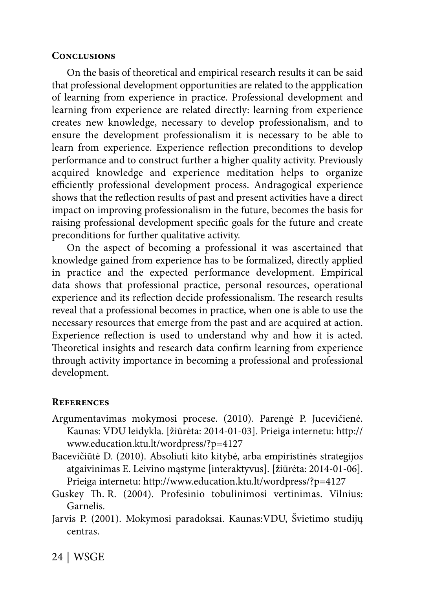## **Conclusions**

On the basis of theoretical and empirical research results it can be said that professional development opportunities are related to the appplication of learning from experience in practice. Professional development and learning from experience are related directly: learning from experience creates new knowledge, necessary to develop professionalism, and to ensure the development professionalism it is necessary to be able to learn from experience. Experience reflection preconditions to develop performance and to construct further a higher quality activity. Previously acquired knowledge and experience meditation helps to organize efficiently professional development process. Andragogical experience shows that the reflection results of past and present activities have a direct impact on improving professionalism in the future, becomes the basis for raising professional development specific goals for the future and create preconditions for further qualitative activity.

On the aspect of becoming a professional it was ascertained that knowledge gained from experience has to be formalized, directly applied in practice and the expected performance development. Empirical data shows that professional practice, personal resources, operational experience and its reflection decide professionalism. The research results reveal that a professional becomes in practice, when one is able to use the necessary resources that emerge from the past and are acquired at action. Experience reflection is used to understand why and how it is acted. Theoretical insights and research data confirm learning from experience through activity importance in becoming a professional and professional development.

### **References**

- Argumentavimas mokymosi procese. (2010). Parengė P. Jucevičienė. Kaunas: VDU leidykla. [žiūrėta: 2014-01-03]. Prieiga internetu: http:// www.education.ktu.lt/wordpress/?p=4127
- Bacevičiūtė D. (2010). Absoliuti kito kitybė, arba empiristinės strategijos atgaivinimas E. Leivino mąstyme [interaktyvus]. [žiūrėta: 2014-01-06]. Prieiga internetu: http://www.education.ktu.lt/wordpress/?p=4127
- Guskey Th. R. (2004). Profesinio tobulinimosi vertinimas. Vilnius: Garnelis.
- Jarvis P. (2001). Mokymosi paradoksai. Kaunas:VDU, Švietimo studijų centras.

24 | WSGE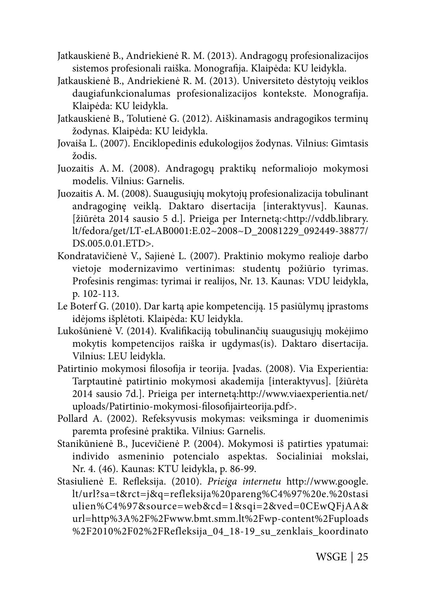- Jatkauskienė B., Andriekienė R. M. (2013). Andragogų profesionalizacijos sistemos profesionali raiška. Monografija. Klaipėda: KU leidykla.
- Jatkauskienė B., Andriekienė R. M. (2013). Universiteto dėstytojų veiklos daugiafunkcionalumas profesionalizacijos kontekste. Monografija. Klaipėda: KU leidykla.
- Jatkauskienė B., Tolutienė G. (2012). Aiškinamasis andragogikos terminų žodynas. Klaipėda: KU leidykla.
- Jovaiša L. (2007). Enciklopedinis edukologijos žodynas. Vilnius: Gimtasis žodis.
- Juozaitis A. M. (2008). Andragogų praktikų neformaliojo mokymosi modelis. Vilnius: Garnelis.
- Juozaitis A. M. (2008). Suaugusiųjų mokytojų profesionalizacija tobulinant andragoginę veiklą. Daktaro disertacija [interaktyvus]. Kaunas. [žiūrėta 2014 sausio 5 d.]. Prieiga per Internetą:<http://vddb.library. lt/fedora/get/LT-eLAB0001:E.02~2008~D\_20081229\_092449-38877/ DS.005.0.01.ETD>.
- Kondratavičienė V., Sajienė L. (2007). Praktinio mokymo realioje darbo vietoje modernizavimo vertinimas: studentų požiūrio tyrimas. Profesinis rengimas: tyrimai ir realijos, Nr. 13. Kaunas: VDU leidykla, p. 102-113.
- Le Boterf G. (2010). Dar kartą apie kompetenciją. 15 pasiūlymų įprastoms idėjoms išplėtoti. Klaipėda: KU leidykla.
- Lukošūnienė V. (2014). Kvalifikaciją tobulinančių suaugusiųjų mokėjimo mokytis kompetencijos raiška ir ugdymas(is). Daktaro disertacija. Vilnius: LEU leidykla.
- Patirtinio mokymosi filosofija ir teorija. Įvadas. (2008). Via Experientia: Tarptautinė patirtinio mokymosi akademija [interaktyvus]. [žiūrėta 2014 sausio 7d.]. Prieiga per internetą:http://www.viaexperientia.net/ uploads/Patirtinio-mokymosi-filosofijairteorija.pdf>.
- Pollard A. (2002). Refeksyvusis mokymas: veiksminga ir duomenimis paremta profesinė praktika. Vilnius: Garnelis.
- Stanikūnienė B., Jucevičienė P. (2004). Mokymosi iš patirties ypatumai: individo asmeninio potencialo aspektas. Socialiniai mokslai, Nr. 4. (46). Kaunas: KTU leidykla, p. 86-99.
- Stasiulienė E. Refleksija. (2010). Prieiga internetu http://www.google. lt/url?sa=t&rct=j&q=refleksija%20pareng%C4%97%20e.%20stasi ulien%C4%97&source=web&cd=1&sqi=2&ved=0CEwQFjAA& url=http%3A%2F%2Fwww.bmt.smm.lt%2Fwp-content%2Fuploads %2F2010%2F02%2FRefleksija\_04\_18-19\_su\_zenklais\_koordinato